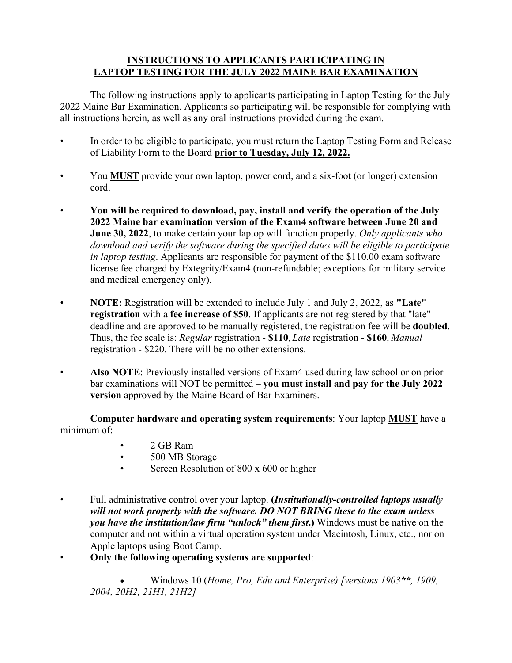## **INSTRUCTIONS TO APPLICANTS PARTICIPATING IN LAPTOP TESTING FOR THE JULY 2022 MAINE BAR EXAMINATION**

 The following instructions apply to applicants participating in Laptop Testing for the July 2022 Maine Bar Examination. Applicants so participating will be responsible for complying with all instructions herein, as well as any oral instructions provided during the exam.

- In order to be eligible to participate, you must return the Laptop Testing Form and Release of Liability Form to the Board **prior to Tuesday, July 12, 2022.**
- You **MUST** provide your own laptop, power cord, and a six-foot (or longer) extension cord.
- **You will be required to download, pay, install and verify the operation of the July 2022 Maine bar examination version of the Exam4 software between June 20 and June 30, 2022**, to make certain your laptop will function properly. *Only applicants who download and verify the software during the specified dates will be eligible to participate in laptop testing*. Applicants are responsible for payment of the \$110.00 exam software license fee charged by Extegrity/Exam4 (non-refundable; exceptions for military service and medical emergency only).
- **NOTE:** Registration will be extended to include July 1 and July 2, 2022, as **"Late" registration** with a **fee increase of \$50**. If applicants are not registered by that "late" deadline and are approved to be manually registered, the registration fee will be **doubled**. Thus, the fee scale is: *Regular* registration - **\$110**, *Late* registration - **\$160**, *Manual*  registration - \$220. There will be no other extensions.
- **Also NOTE**: Previously installed versions of Exam4 used during law school or on prior bar examinations will NOT be permitted – **you must install and pay for the July 2022 version** approved by the Maine Board of Bar Examiners.

**Computer hardware and operating system requirements**: Your laptop **MUST** have a minimum of:

- 2 GB Ram
- 500 MB Storage
- Screen Resolution of 800 x 600 or higher
- Full administrative control over your laptop. **(***Institutionally-controlled laptops usually will not work properly with the software. DO NOT BRING these to the exam unless you have the institution/law firm "unlock" them first***.)** Windows must be native on the computer and not within a virtual operation system under Macintosh, Linux, etc., nor on Apple laptops using Boot Camp.
- **Only the following operating systems are supported**:

• Windows 10 (*Home, Pro, Edu and Enterprise) [versions 1903\*\*, 1909, 2004, 20H2, 21H1, 21H2]*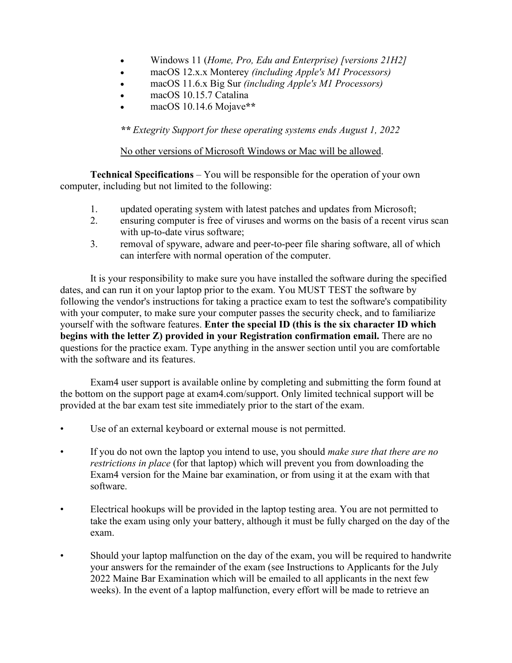- Windows 11 (*Home, Pro, Edu and Enterprise) [versions 21H2]*
- macOS 12.x.x Monterey *(including Apple's M1 Processors)*
- macOS 11.6.x Big Sur *(including Apple's M1 Processors)*
- macOS 10.15.7 Catalina
- macOS 10.14.6 Mojave**\*\***

*\*\* Extegrity Support for these operating systems ends August 1, 2022*

## No other versions of Microsoft Windows or Mac will be allowed.

**Technical Specifications** – You will be responsible for the operation of your own computer, including but not limited to the following:

- 1. updated operating system with latest patches and updates from Microsoft;
- 2. ensuring computer is free of viruses and worms on the basis of a recent virus scan with up-to-date virus software;
- 3. removal of spyware, adware and peer-to-peer file sharing software, all of which can interfere with normal operation of the computer.

 It is your responsibility to make sure you have installed the software during the specified dates, and can run it on your laptop prior to the exam. You MUST TEST the software by following the vendor's instructions for taking a practice exam to test the software's compatibility with your computer, to make sure your computer passes the security check, and to familiarize yourself with the software features. **Enter the special ID (this is the six character ID which begins with the letter Z) provided in your Registration confirmation email.** There are no questions for the practice exam. Type anything in the answer section until you are comfortable with the software and its features.

 Exam4 user support is available online by completing and submitting the form found at the bottom on the support page at exam4.com/support. Only limited technical support will be provided at the bar exam test site immediately prior to the start of the exam.

- Use of an external keyboard or external mouse is not permitted.
- If you do not own the laptop you intend to use, you should *make sure that there are no restrictions in place* (for that laptop) which will prevent you from downloading the Exam4 version for the Maine bar examination, or from using it at the exam with that software.
- Electrical hookups will be provided in the laptop testing area. You are not permitted to take the exam using only your battery, although it must be fully charged on the day of the exam.
- Should your laptop malfunction on the day of the exam, you will be required to handwrite your answers for the remainder of the exam (see Instructions to Applicants for the July 2022 Maine Bar Examination which will be emailed to all applicants in the next few weeks). In the event of a laptop malfunction, every effort will be made to retrieve an